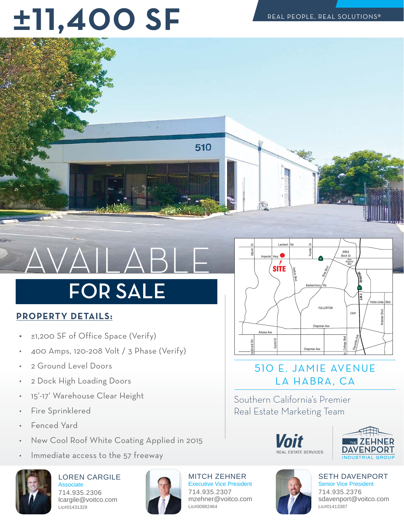## **±--SF**



## 

### **FOR SALE** FOR SALE

#### **PROPERTY DETAILS:**

- ±1,200 SF of Office Space (Verify)
- 400 Amps, 120-208 Volt / 3 Phase (Verify)
- 2 Ground Level Doors
- 2 Dock High Loading Doors
- 15'-17' Warehouse Clear Height
- Fire Sprinklered
- Fenced Yard
- New Cool Roof White Coating Applied in 2015
- Immediate access to the 57 freeway



LOREN CARGILE Associate 714.935.2306 lcargile@voitco.com Lic#01431329



MITCH ZEHNER Executive Vice President 714.935.2307 mzehner@voitco.com Lic#00882464



#### 510 E. JAMIE AVENUE LA HABRA, CA

Southern California's Premier Doal Estato Marketing Toam Real Estate Marketing Team



SETH DAVENPORT Senior Vice President 714.935.2376 sdavenport@voitco.com Lic#01413387